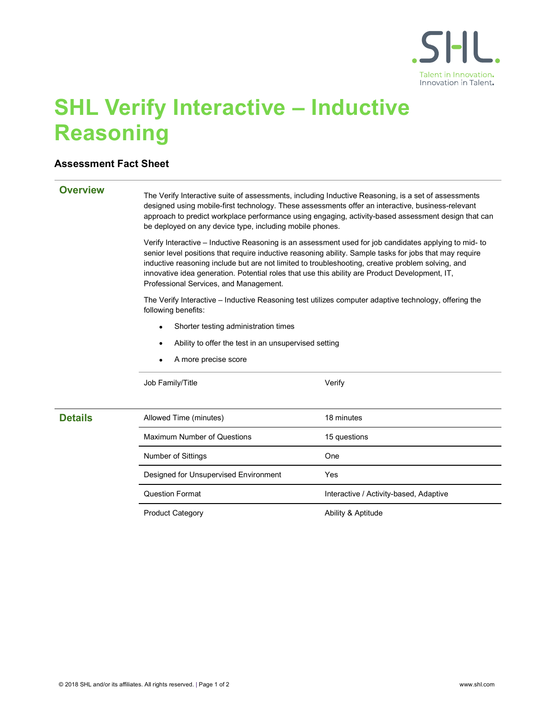

# SHL Verify Interactive – Inductive Reasoning

# Assessment Fact Sheet

**Overview** The Verify Interactive suite of assessments, including Inductive Reasoning, is a set of assessments designed using mobile-first technology. These assessments offer an interactive, business-relevant approach to predict workplace performance using engaging, activity-based assessment design that can be deployed on any device type, including mobile phones.

> Verify Interactive – Inductive Reasoning is an assessment used for job candidates applying to mid- to senior level positions that require inductive reasoning ability. Sample tasks for jobs that may require inductive reasoning include but are not limited to troubleshooting, creative problem solving, and innovative idea generation. Potential roles that use this ability are Product Development, IT, Professional Services, and Management.

The Verify Interactive – Inductive Reasoning test utilizes computer adaptive technology, offering the following benefits:

- Shorter testing administration times
- Ability to offer the test in an unsupervised setting
- A more precise score

Job Family/Title Verify

| <b>Details</b> | Allowed Time (minutes)                | 18 minutes                             |
|----------------|---------------------------------------|----------------------------------------|
|                | <b>Maximum Number of Questions</b>    | 15 questions                           |
|                | Number of Sittings                    | One                                    |
|                | Designed for Unsupervised Environment | Yes                                    |
|                | <b>Question Format</b>                | Interactive / Activity-based, Adaptive |
|                | <b>Product Category</b>               | Ability & Aptitude                     |